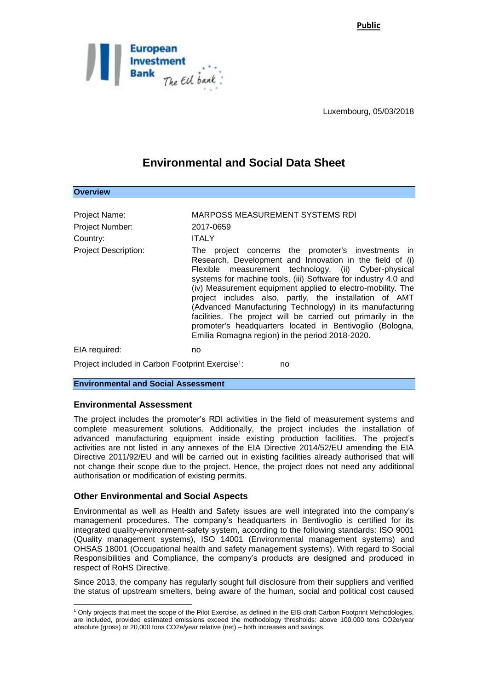**Public**



Luxembourg, 05/03/2018

## **Environmental and Social Data Sheet**

| <b>OVERVIEW</b>                                              |                                                                                                                                                                                                                                                                                                                                                                                                                                                                                                                                                                                                              |
|--------------------------------------------------------------|--------------------------------------------------------------------------------------------------------------------------------------------------------------------------------------------------------------------------------------------------------------------------------------------------------------------------------------------------------------------------------------------------------------------------------------------------------------------------------------------------------------------------------------------------------------------------------------------------------------|
|                                                              |                                                                                                                                                                                                                                                                                                                                                                                                                                                                                                                                                                                                              |
| <b>Project Name:</b>                                         | <b>MARPOSS MEASUREMENT SYSTEMS RDI</b>                                                                                                                                                                                                                                                                                                                                                                                                                                                                                                                                                                       |
| Project Number:                                              | 2017-0659                                                                                                                                                                                                                                                                                                                                                                                                                                                                                                                                                                                                    |
| Country:                                                     | <b>ITALY</b>                                                                                                                                                                                                                                                                                                                                                                                                                                                                                                                                                                                                 |
| <b>Project Description:</b>                                  | The project concerns the promoter's investments in<br>Research, Development and Innovation in the field of (i)<br>Flexible measurement technology, (ii) Cyber-physical<br>systems for machine tools, (iii) Software for industry 4.0 and<br>(iv) Measurement equipment applied to electro-mobility. The<br>project includes also, partly, the installation of AMT<br>(Advanced Manufacturing Technology) in its manufacturing<br>facilities. The project will be carried out primarily in the<br>promoter's headquarters located in Bentivoglio (Bologna,<br>Emilia Romagna region) in the period 2018-2020. |
| EIA required:                                                | no                                                                                                                                                                                                                                                                                                                                                                                                                                                                                                                                                                                                           |
| Project included in Carbon Footprint Exercise <sup>1</sup> : | no                                                                                                                                                                                                                                                                                                                                                                                                                                                                                                                                                                                                           |

**Environmental and Social Assessment** 

## **Environmental Assessment**

-

**Overwith** 

The project includes the promoter's RDI activities in the field of measurement systems and complete measurement solutions. Additionally, the project includes the installation of advanced manufacturing equipment inside existing production facilities. The project's activities are not listed in any annexes of the EIA Directive 2014/52/EU amending the EIA Directive 2011/92/EU and will be carried out in existing facilities already authorised that will not change their scope due to the project. Hence, the project does not need any additional authorisation or modification of existing permits.

## **Other Environmental and Social Aspects**

Environmental as well as Health and Safety issues are well integrated into the company's management procedures. The company's headquarters in Bentivoglio is certified for its integrated quality-environment-safety system, according to the following standards: ISO 9001 (Quality management systems), ISO 14001 (Environmental management systems) and OHSAS 18001 (Occupational health and safety management systems). With regard to Social Responsibilities and Compliance, the company's products are designed and produced in respect of RoHS Directive.

Since 2013, the company has regularly sought full disclosure from their suppliers and verified the status of upstream smelters, being aware of the human, social and political cost caused

<sup>1</sup> Only projects that meet the scope of the Pilot Exercise, as defined in the EIB draft Carbon Footprint Methodologies, are included, provided estimated emissions exceed the methodology thresholds: above 100,000 tons CO2e/year absolute (gross) or 20,000 tons CO2e/year relative (net) – both increases and savings.